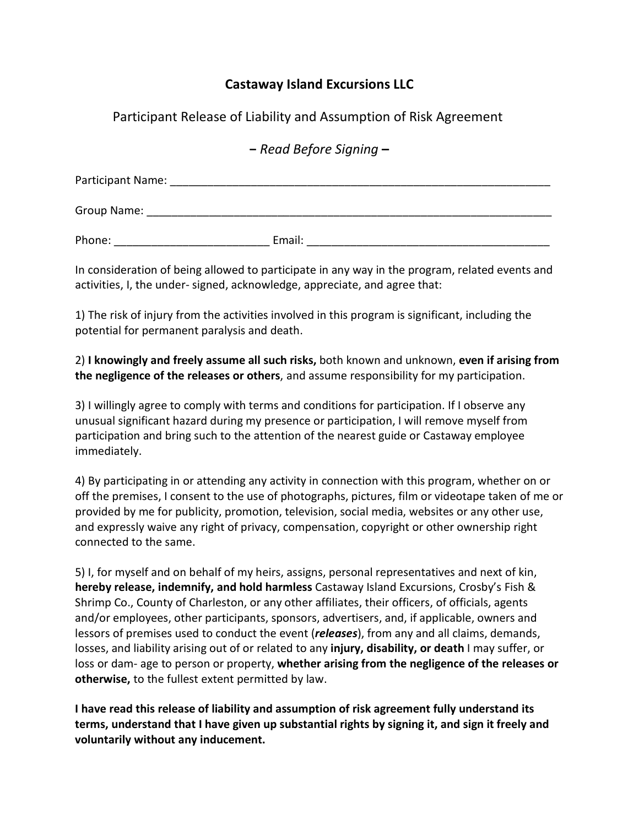## **Castaway Island Excursions LLC**

Participant Release of Liability and Assumption of Risk Agreement

**−** *Read Before Signing* **–**

| Participant Name: |        |
|-------------------|--------|
| Group Name:       |        |
| Phone:            | Email: |

In consideration of being allowed to participate in any way in the program, related events and activities, I, the under- signed, acknowledge, appreciate, and agree that:

1) The risk of injury from the activities involved in this program is significant, including the potential for permanent paralysis and death.

2) **I knowingly and freely assume all such risks,** both known and unknown, **even if arising from the negligence of the releases or others**, and assume responsibility for my participation.

3) I willingly agree to comply with terms and conditions for participation. If I observe any unusual significant hazard during my presence or participation, I will remove myself from participation and bring such to the attention of the nearest guide or Castaway employee immediately.

4) By participating in or attending any activity in connection with this program, whether on or off the premises, I consent to the use of photographs, pictures, film or videotape taken of me or provided by me for publicity, promotion, television, social media, websites or any other use, and expressly waive any right of privacy, compensation, copyright or other ownership right connected to the same.

5) I, for myself and on behalf of my heirs, assigns, personal representatives and next of kin, **hereby release, indemnify, and hold harmless** Castaway Island Excursions, Crosby's Fish & Shrimp Co., County of Charleston, or any other affiliates, their officers, of officials, agents and/or employees, other participants, sponsors, advertisers, and, if applicable, owners and lessors of premises used to conduct the event (*releases*), from any and all claims, demands, losses, and liability arising out of or related to any **injury, disability, or death** I may suffer, or loss or dam- age to person or property, **whether arising from the negligence of the releases or otherwise,** to the fullest extent permitted by law.

**I have read this release of liability and assumption of risk agreement fully understand its terms, understand that I have given up substantial rights by signing it, and sign it freely and voluntarily without any inducement.**